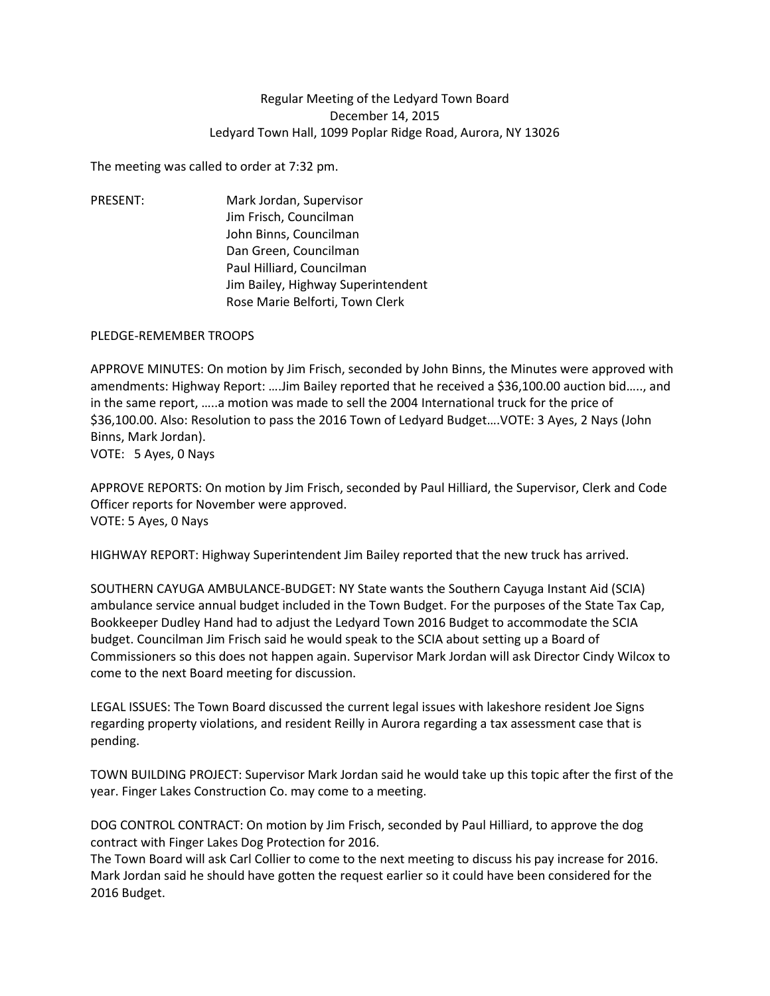## Regular Meeting of the Ledyard Town Board December 14, 2015 Ledyard Town Hall, 1099 Poplar Ridge Road, Aurora, NY 13026

The meeting was called to order at 7:32 pm.

PRESENT: Mark Jordan, Supervisor Jim Frisch, Councilman John Binns, Councilman Dan Green, Councilman Paul Hilliard, Councilman Jim Bailey, Highway Superintendent Rose Marie Belforti, Town Clerk

## PLEDGE-REMEMBER TROOPS

APPROVE MINUTES: On motion by Jim Frisch, seconded by John Binns, the Minutes were approved with amendments: Highway Report: ….Jim Bailey reported that he received a \$36,100.00 auction bid….., and in the same report, …..a motion was made to sell the 2004 International truck for the price of \$36,100.00. Also: Resolution to pass the 2016 Town of Ledyard Budget….VOTE: 3 Ayes, 2 Nays (John Binns, Mark Jordan). VOTE: 5 Ayes, 0 Nays

APPROVE REPORTS: On motion by Jim Frisch, seconded by Paul Hilliard, the Supervisor, Clerk and Code Officer reports for November were approved. VOTE: 5 Ayes, 0 Nays

HIGHWAY REPORT: Highway Superintendent Jim Bailey reported that the new truck has arrived.

SOUTHERN CAYUGA AMBULANCE-BUDGET: NY State wants the Southern Cayuga Instant Aid (SCIA) ambulance service annual budget included in the Town Budget. For the purposes of the State Tax Cap, Bookkeeper Dudley Hand had to adjust the Ledyard Town 2016 Budget to accommodate the SCIA budget. Councilman Jim Frisch said he would speak to the SCIA about setting up a Board of Commissioners so this does not happen again. Supervisor Mark Jordan will ask Director Cindy Wilcox to come to the next Board meeting for discussion.

LEGAL ISSUES: The Town Board discussed the current legal issues with lakeshore resident Joe Signs regarding property violations, and resident Reilly in Aurora regarding a tax assessment case that is pending.

TOWN BUILDING PROJECT: Supervisor Mark Jordan said he would take up this topic after the first of the year. Finger Lakes Construction Co. may come to a meeting.

DOG CONTROL CONTRACT: On motion by Jim Frisch, seconded by Paul Hilliard, to approve the dog contract with Finger Lakes Dog Protection for 2016.

The Town Board will ask Carl Collier to come to the next meeting to discuss his pay increase for 2016. Mark Jordan said he should have gotten the request earlier so it could have been considered for the 2016 Budget.